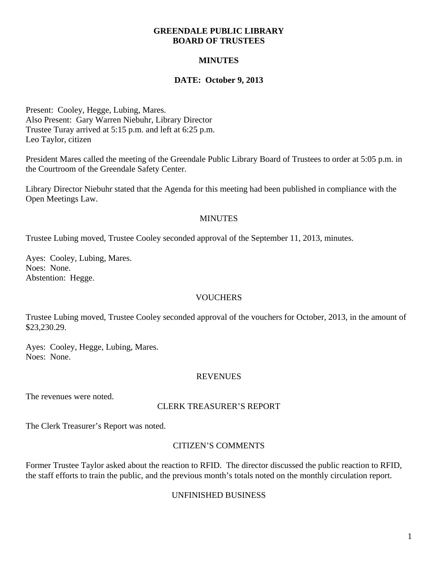#### **GREENDALE PUBLIC LIBRARY BOARD OF TRUSTEES**

# **MINUTES**

# **DATE: October 9, 2013**

Present: Cooley, Hegge, Lubing, Mares. Also Present: Gary Warren Niebuhr, Library Director Trustee Turay arrived at 5:15 p.m. and left at 6:25 p.m. Leo Taylor, citizen

President Mares called the meeting of the Greendale Public Library Board of Trustees to order at 5:05 p.m. in the Courtroom of the Greendale Safety Center.

Library Director Niebuhr stated that the Agenda for this meeting had been published in compliance with the Open Meetings Law.

### **MINUTES**

Trustee Lubing moved, Trustee Cooley seconded approval of the September 11, 2013, minutes.

Ayes: Cooley, Lubing, Mares. Noes: None. Abstention: Hegge.

## **VOUCHERS**

Trustee Lubing moved, Trustee Cooley seconded approval of the vouchers for October, 2013, in the amount of \$23,230.29.

Ayes: Cooley, Hegge, Lubing, Mares. Noes: None.

#### REVENUES

The revenues were noted.

#### CLERK TREASURER'S REPORT

The Clerk Treasurer's Report was noted.

### CITIZEN'S COMMENTS

Former Trustee Taylor asked about the reaction to RFID. The director discussed the public reaction to RFID, the staff efforts to train the public, and the previous month's totals noted on the monthly circulation report.

#### UNFINISHED BUSINESS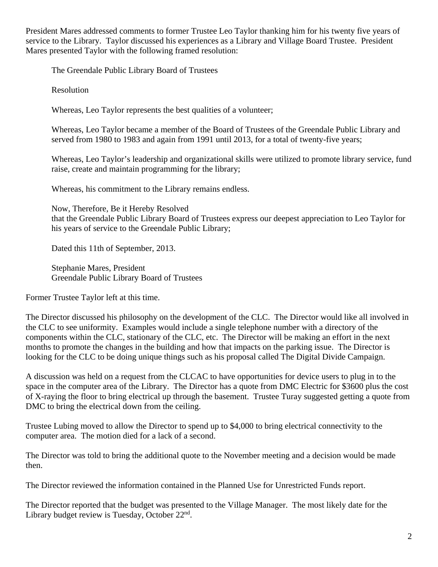President Mares addressed comments to former Trustee Leo Taylor thanking him for his twenty five years of service to the Library. Taylor discussed his experiences as a Library and Village Board Trustee. President Mares presented Taylor with the following framed resolution:

The Greendale Public Library Board of Trustees

Resolution

Whereas, Leo Taylor represents the best qualities of a volunteer;

Whereas, Leo Taylor became a member of the Board of Trustees of the Greendale Public Library and served from 1980 to 1983 and again from 1991 until 2013, for a total of twenty-five years;

Whereas, Leo Taylor's leadership and organizational skills were utilized to promote library service, fund raise, create and maintain programming for the library;

Whereas, his commitment to the Library remains endless.

Now, Therefore, Be it Hereby Resolved that the Greendale Public Library Board of Trustees express our deepest appreciation to Leo Taylor for his years of service to the Greendale Public Library;

Dated this 11th of September, 2013.

Stephanie Mares, President Greendale Public Library Board of Trustees

Former Trustee Taylor left at this time.

The Director discussed his philosophy on the development of the CLC. The Director would like all involved in the CLC to see uniformity. Examples would include a single telephone number with a directory of the components within the CLC, stationary of the CLC, etc. The Director will be making an effort in the next months to promote the changes in the building and how that impacts on the parking issue. The Director is looking for the CLC to be doing unique things such as his proposal called The Digital Divide Campaign.

A discussion was held on a request from the CLCAC to have opportunities for device users to plug in to the space in the computer area of the Library. The Director has a quote from DMC Electric for \$3600 plus the cost of X-raying the floor to bring electrical up through the basement. Trustee Turay suggested getting a quote from DMC to bring the electrical down from the ceiling.

Trustee Lubing moved to allow the Director to spend up to \$4,000 to bring electrical connectivity to the computer area. The motion died for a lack of a second.

The Director was told to bring the additional quote to the November meeting and a decision would be made then.

The Director reviewed the information contained in the Planned Use for Unrestricted Funds report.

The Director reported that the budget was presented to the Village Manager. The most likely date for the Library budget review is Tuesday, October  $22<sup>nd</sup>$ .